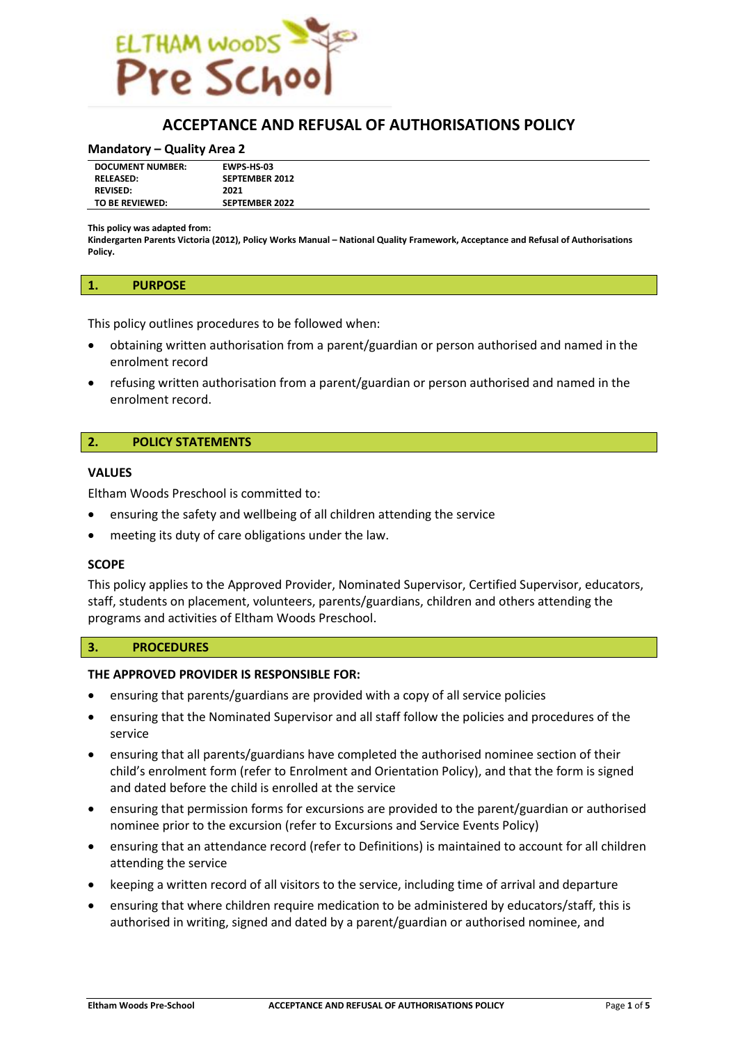

# **ACCEPTANCE AND REFUSAL OF AUTHORISATIONS POLICY**

#### **Mandatory – Quality Area 2**

| <b>SEPTEMBER 2012</b><br><b>RELEASED:</b><br>2021<br><b>REVISED:</b><br>TO BE REVIEWED:<br><b>SEPTEMBER 2022</b> | <b>DOCUMENT NUMBER:</b> | <b>EWPS HS 03</b> |
|------------------------------------------------------------------------------------------------------------------|-------------------------|-------------------|
|                                                                                                                  |                         |                   |
|                                                                                                                  |                         |                   |
|                                                                                                                  |                         |                   |

**This policy was adapted from:**

**Kindergarten Parents Victoria (2012), Policy Works Manual – National Quality Framework, Acceptance and Refusal of Authorisations Policy.**

#### **1. PURPOSE**

This policy outlines procedures to be followed when:

- obtaining written authorisation from a parent/guardian or person authorised and named in the enrolment record
- refusing written authorisation from a parent/guardian or person authorised and named in the enrolment record.

#### **2. POLICY STATEMENTS**

#### **VALUES**

Eltham Woods Preschool is committed to:

- ensuring the safety and wellbeing of all children attending the service
- meeting its duty of care obligations under the law.

#### **SCOPE**

This policy applies to the Approved Provider, Nominated Supervisor, Certified Supervisor, educators, staff, students on placement, volunteers, parents/guardians, children and others attending the programs and activities of Eltham Woods Preschool.

#### **3. PROCEDURES**

#### **THE APPROVED PROVIDER IS RESPONSIBLE FOR:**

- ensuring that parents/guardians are provided with a copy of all service policies
- ensuring that the Nominated Supervisor and all staff follow the policies and procedures of the service
- ensuring that all parents/guardians have completed the authorised nominee section of their child's enrolment form (refer to Enrolment and Orientation Policy), and that the form is signed and dated before the child is enrolled at the service
- ensuring that permission forms for excursions are provided to the parent/guardian or authorised nominee prior to the excursion (refer to Excursions and Service Events Policy)
- ensuring that an attendance record (refer to Definitions) is maintained to account for all children attending the service
- keeping a written record of all visitors to the service, including time of arrival and departure
- ensuring that where children require medication to be administered by educators/staff, this is authorised in writing, signed and dated by a parent/guardian or authorised nominee, and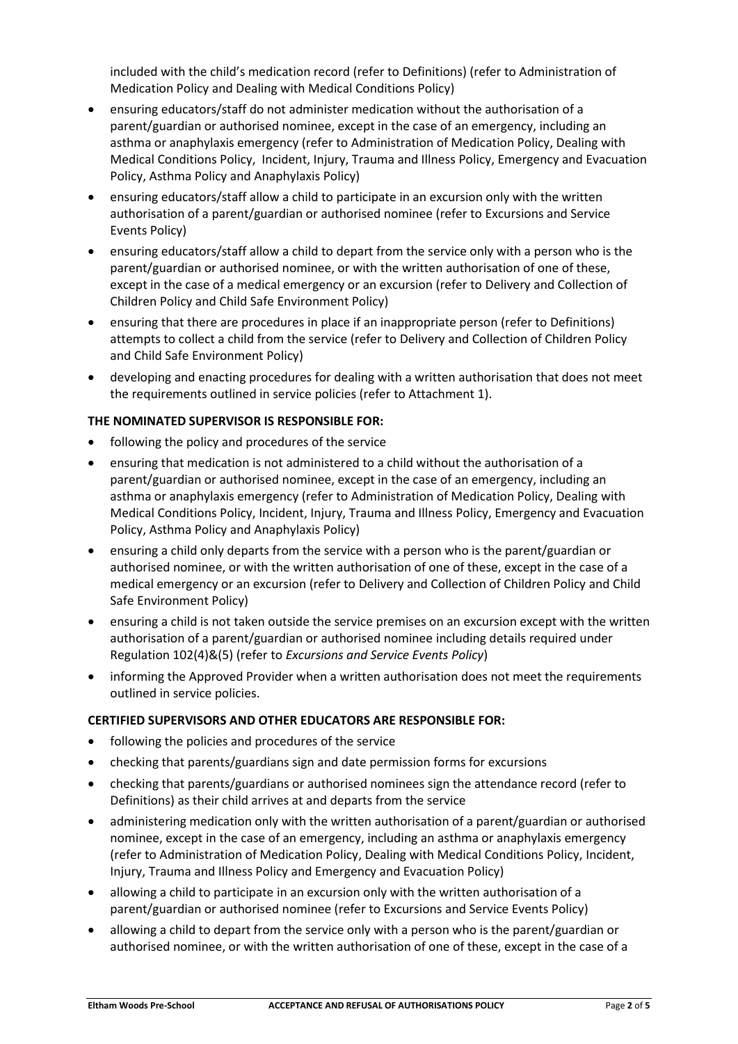included with the child's medication record (refer to Definitions) (refer to Administration of Medication Policy and Dealing with Medical Conditions Policy)

- ensuring educators/staff do not administer medication without the authorisation of a parent/guardian or authorised nominee, except in the case of an emergency, including an asthma or anaphylaxis emergency (refer to Administration of Medication Policy, Dealing with Medical Conditions Policy, Incident, Injury, Trauma and Illness Policy, Emergency and Evacuation Policy, Asthma Policy and Anaphylaxis Policy)
- ensuring educators/staff allow a child to participate in an excursion only with the written authorisation of a parent/guardian or authorised nominee (refer to Excursions and Service Events Policy)
- ensuring educators/staff allow a child to depart from the service only with a person who is the parent/guardian or authorised nominee, or with the written authorisation of one of these, except in the case of a medical emergency or an excursion (refer to Delivery and Collection of Children Policy and Child Safe Environment Policy)
- ensuring that there are procedures in place if an inappropriate person (refer to Definitions) attempts to collect a child from the service (refer to Delivery and Collection of Children Policy and Child Safe Environment Policy)
- developing and enacting procedures for dealing with a written authorisation that does not meet the requirements outlined in service policies (refer to Attachment 1).

# **THE NOMINATED SUPERVISOR IS RESPONSIBLE FOR:**

- following the policy and procedures of the service
- ensuring that medication is not administered to a child without the authorisation of a parent/guardian or authorised nominee, except in the case of an emergency, including an asthma or anaphylaxis emergency (refer to Administration of Medication Policy, Dealing with Medical Conditions Policy, Incident, Injury, Trauma and Illness Policy, Emergency and Evacuation Policy, Asthma Policy and Anaphylaxis Policy)
- ensuring a child only departs from the service with a person who is the parent/guardian or authorised nominee, or with the written authorisation of one of these, except in the case of a medical emergency or an excursion (refer to Delivery and Collection of Children Policy and Child Safe Environment Policy)
- ensuring a child is not taken outside the service premises on an excursion except with the written authorisation of a parent/guardian or authorised nominee including details required under Regulation 102(4)&(5) (refer to *Excursions and Service Events Policy*)
- informing the Approved Provider when a written authorisation does not meet the requirements outlined in service policies.

# **CERTIFIED SUPERVISORS AND OTHER EDUCATORS ARE RESPONSIBLE FOR:**

- following the policies and procedures of the service
- checking that parents/guardians sign and date permission forms for excursions
- checking that parents/guardians or authorised nominees sign the attendance record (refer to Definitions) as their child arrives at and departs from the service
- administering medication only with the written authorisation of a parent/guardian or authorised nominee, except in the case of an emergency, including an asthma or anaphylaxis emergency (refer to Administration of Medication Policy, Dealing with Medical Conditions Policy, Incident, Injury, Trauma and Illness Policy and Emergency and Evacuation Policy)
- allowing a child to participate in an excursion only with the written authorisation of a parent/guardian or authorised nominee (refer to Excursions and Service Events Policy)
- allowing a child to depart from the service only with a person who is the parent/guardian or authorised nominee, or with the written authorisation of one of these, except in the case of a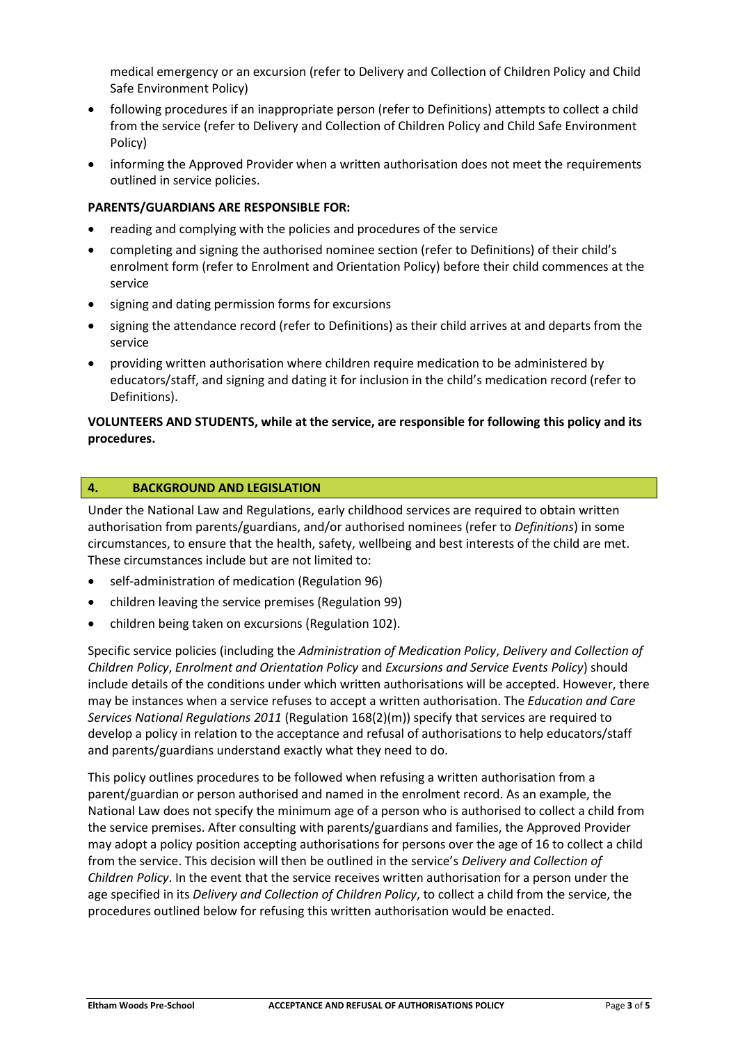medical emergency or an excursion (refer to Delivery and Collection of Children Policy and Child Safe Environment Policy)

- following procedures if an inappropriate person (refer to Definitions) attempts to collect a child from the service (refer to Delivery and Collection of Children Policy and Child Safe Environment Policy)
- informing the Approved Provider when a written authorisation does not meet the requirements outlined in service policies.

### **PARENTS/GUARDIANS ARE RESPONSIBLE FOR:**

- reading and complying with the policies and procedures of the service
- completing and signing the authorised nominee section (refer to Definitions) of their child's enrolment form (refer to Enrolment and Orientation Policy) before their child commences at the service
- signing and dating permission forms for excursions
- signing the attendance record (refer to Definitions) as their child arrives at and departs from the service
- providing written authorisation where children require medication to be administered by educators/staff, and signing and dating it for inclusion in the child's medication record (refer to Definitions).

### **VOLUNTEERS AND STUDENTS, while at the service, are responsible for following this policy and its procedures.**

### **4. BACKGROUND AND LEGISLATION**

Under the National Law and Regulations, early childhood services are required to obtain written authorisation from parents/guardians, and/or authorised nominees (refer to *Definitions*) in some circumstances, to ensure that the health, safety, wellbeing and best interests of the child are met. These circumstances include but are not limited to:

- self-administration of medication (Regulation 96)
- children leaving the service premises (Regulation 99)
- children being taken on excursions (Regulation 102).

Specific service policies (including the *Administration of Medication Policy*, *Delivery and Collection of Children Policy*, *Enrolment and Orientation Policy* and *Excursions and Service Events Policy*) should include details of the conditions under which written authorisations will be accepted. However, there may be instances when a service refuses to accept a written authorisation. The *Education and Care Services National Regulations 2011* (Regulation 168(2)(m)) specify that services are required to develop a policy in relation to the acceptance and refusal of authorisations to help educators/staff and parents/guardians understand exactly what they need to do.

This policy outlines procedures to be followed when refusing a written authorisation from a parent/guardian or person authorised and named in the enrolment record. As an example, the National Law does not specify the minimum age of a person who is authorised to collect a child from the service premises. After consulting with parents/guardians and families, the Approved Provider may adopt a policy position accepting authorisations for persons over the age of 16 to collect a child from the service. This decision will then be outlined in the service's *Delivery and Collection of Children Policy*. In the event that the service receives written authorisation for a person under the age specified in its *Delivery and Collection of Children Policy*, to collect a child from the service, the procedures outlined below for refusing this written authorisation would be enacted.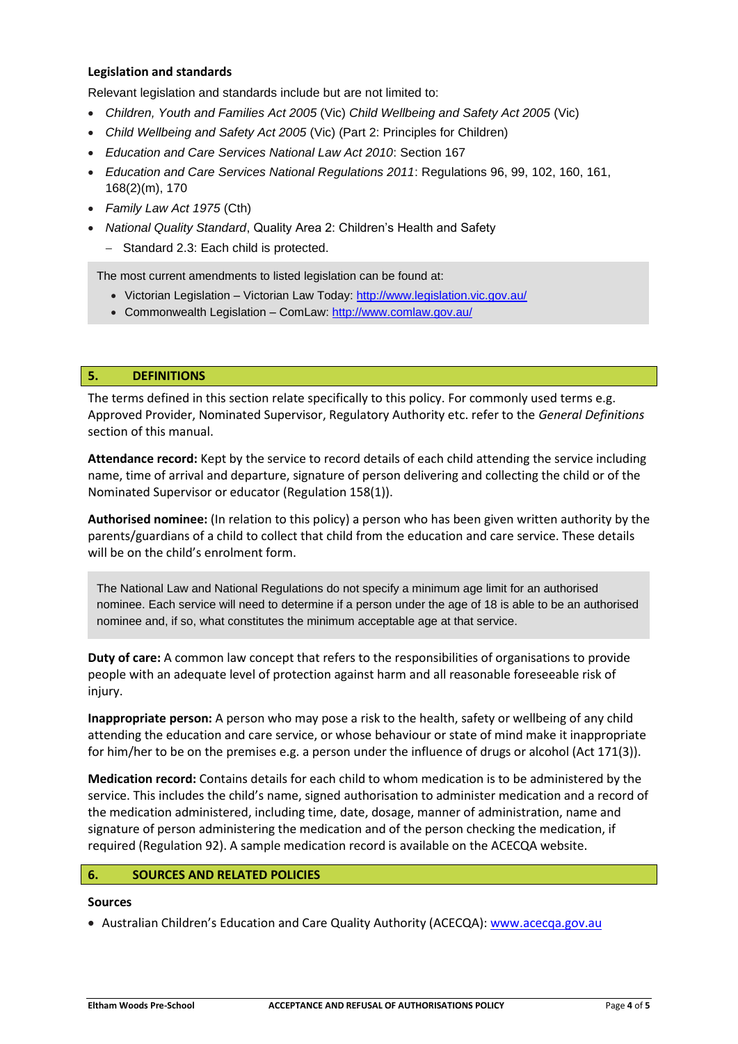### **Legislation and standards**

Relevant legislation and standards include but are not limited to:

- *Children, Youth and Families Act 2005* (Vic) *Child Wellbeing and Safety Act 2005* (Vic)
- *Child Wellbeing and Safety Act 2005* (Vic) (Part 2: Principles for Children)
- *Education and Care Services National Law Act 2010*: Section 167
- *Education and Care Services National Regulations 2011*: Regulations 96, 99, 102, 160, 161, 168(2)(m), 170
- *Family Law Act 1975* (Cth)
- *National Quality Standard*, Quality Area 2: Children's Health and Safety
	- − Standard 2.3: Each child is protected.

The most current amendments to listed legislation can be found at:

- Victorian Legislation Victorian Law Today:<http://www.legislation.vic.gov.au/>
- Commonwealth Legislation ComLaw:<http://www.comlaw.gov.au/>

### **5. DEFINITIONS**

The terms defined in this section relate specifically to this policy. For commonly used terms e.g. Approved Provider, Nominated Supervisor, Regulatory Authority etc. refer to the *General Definitions* section of this manual.

**Attendance record:** Kept by the service to record details of each child attending the service including name, time of arrival and departure, signature of person delivering and collecting the child or of the Nominated Supervisor or educator (Regulation 158(1)).

**Authorised nominee:** (In relation to this policy) a person who has been given written authority by the parents/guardians of a child to collect that child from the education and care service. These details will be on the child's enrolment form.

The National Law and National Regulations do not specify a minimum age limit for an authorised nominee. Each service will need to determine if a person under the age of 18 is able to be an authorised nominee and, if so, what constitutes the minimum acceptable age at that service.

**Duty of care:** A common law concept that refers to the responsibilities of organisations to provide people with an adequate level of protection against harm and all reasonable foreseeable risk of injury.

**Inappropriate person:** A person who may pose a risk to the health, safety or wellbeing of any child attending the education and care service, or whose behaviour or state of mind make it inappropriate for him/her to be on the premises e.g. a person under the influence of drugs or alcohol (Act 171(3)).

**Medication record:** Contains details for each child to whom medication is to be administered by the service. This includes the child's name, signed authorisation to administer medication and a record of the medication administered, including time, date, dosage, manner of administration, name and signature of person administering the medication and of the person checking the medication, if required (Regulation 92). A sample medication record is available on the ACECQA website.

### **6. SOURCES AND RELATED POLICIES**

# **Sources**

• Australian Children's Education and Care Quality Authority (ACECQA): [www.acecqa.gov.au](http://www.acecqa.gov.au/)